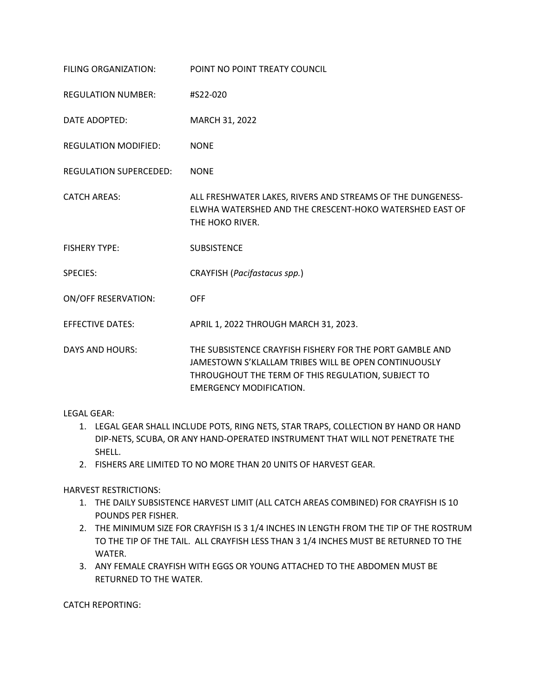| FILING ORGANIZATION:        | POINT NO POINT TREATY COUNCIL                                                                                                                                                                            |
|-----------------------------|----------------------------------------------------------------------------------------------------------------------------------------------------------------------------------------------------------|
| <b>REGULATION NUMBER:</b>   | #S22-020                                                                                                                                                                                                 |
| DATE ADOPTED:               | MARCH 31, 2022                                                                                                                                                                                           |
| <b>REGULATION MODIFIED:</b> | <b>NONE</b>                                                                                                                                                                                              |
| REGULATION SUPERCEDED:      | <b>NONE</b>                                                                                                                                                                                              |
| <b>CATCH AREAS:</b>         | ALL FRESHWATER LAKES, RIVERS AND STREAMS OF THE DUNGENESS-<br>ELWHA WATERSHED AND THE CRESCENT-HOKO WATERSHED EAST OF<br>THE HOKO RIVER.                                                                 |
| <b>FISHERY TYPE:</b>        | <b>SUBSISTENCE</b>                                                                                                                                                                                       |
| <b>SPECIES:</b>             | CRAYFISH (Pacifastacus spp.)                                                                                                                                                                             |
| <b>ON/OFF RESERVATION:</b>  | <b>OFF</b>                                                                                                                                                                                               |
| <b>EFFECTIVE DATES:</b>     | APRIL 1, 2022 THROUGH MARCH 31, 2023.                                                                                                                                                                    |
| <b>DAYS AND HOURS:</b>      | THE SUBSISTENCE CRAYFISH FISHERY FOR THE PORT GAMBLE AND<br>JAMESTOWN S'KLALLAM TRIBES WILL BE OPEN CONTINUOUSLY<br>THROUGHOUT THE TERM OF THIS REGULATION, SUBJECT TO<br><b>EMERGENCY MODIFICATION.</b> |

LEGAL GEAR:

- 1. LEGAL GEAR SHALL INCLUDE POTS, RING NETS, STAR TRAPS, COLLECTION BY HAND OR HAND DIP-NETS, SCUBA, OR ANY HAND-OPERATED INSTRUMENT THAT WILL NOT PENETRATE THE SHELL.
- 2. FISHERS ARE LIMITED TO NO MORE THAN 20 UNITS OF HARVEST GEAR.

HARVEST RESTRICTIONS:

- 1. THE DAILY SUBSISTENCE HARVEST LIMIT (ALL CATCH AREAS COMBINED) FOR CRAYFISH IS 10 POUNDS PER FISHER.
- 2. THE MINIMUM SIZE FOR CRAYFISH IS 3 1/4 INCHES IN LENGTH FROM THE TIP OF THE ROSTRUM TO THE TIP OF THE TAIL. ALL CRAYFISH LESS THAN 3 1/4 INCHES MUST BE RETURNED TO THE WATER.
- 3. ANY FEMALE CRAYFISH WITH EGGS OR YOUNG ATTACHED TO THE ABDOMEN MUST BE RETURNED TO THE WATER.

CATCH REPORTING: